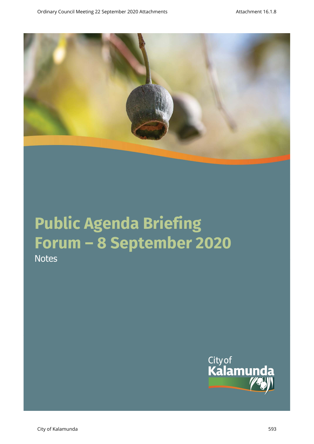

# **Public Agenda Briefing Forum – 8 September 2020 Notes**

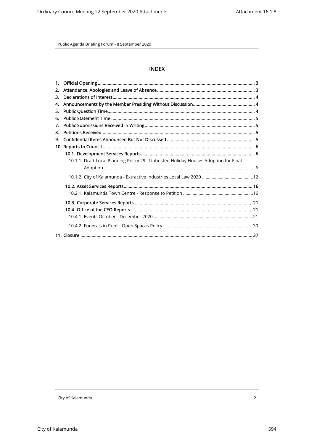# **INDEX**

| 1. |                                                                                     |  |
|----|-------------------------------------------------------------------------------------|--|
| 2. |                                                                                     |  |
| 3. |                                                                                     |  |
| 4. |                                                                                     |  |
| 5. |                                                                                     |  |
| 6. |                                                                                     |  |
| 7. |                                                                                     |  |
| 8. |                                                                                     |  |
| 9. |                                                                                     |  |
|    |                                                                                     |  |
|    |                                                                                     |  |
|    | 10.1.1. Draft Local Planning Policy 29 - Unhosted Holiday Houses Adoption for Final |  |
|    |                                                                                     |  |
|    |                                                                                     |  |
|    |                                                                                     |  |
|    |                                                                                     |  |
|    |                                                                                     |  |
|    |                                                                                     |  |
|    |                                                                                     |  |
|    |                                                                                     |  |
|    |                                                                                     |  |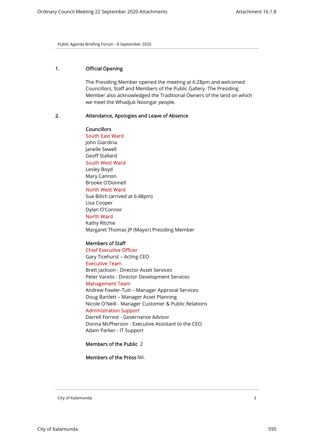# 1. Official Opening

The Presiding Member opened the meeting at 6:28pm and welcomed Councillors, Staff and Members of the Public Gallery. The Presiding Member also acknowledged the Traditional Owners of the land on which we meet the Whadjuk Noongar people.

## 2. Attendance, Apologies and Leave of Absence

Councillors South East Ward John Giardina Janelle Sewell Geoff Stallard South West Ward Lesley Boyd Mary Cannon Brooke O'Donnell North West Ward Sue Bilich (arrived at 6:48pm) Lisa Cooper Dylan O'Connor North Ward Kathy Ritchie

Margaret Thomas JP (Mayor) Presiding Member

# Members of Staff

Chief Executive Officer Gary Ticehurst – Acting CEO Executive Team Brett Jackson - Director Asset Services Peter Varelis - Director Development Services Management Team Andrew Fowler-Tutt – Manager Approval Services Doug Bartlett – Manager Asset Planning Nicole O'Neill - Manager Customer & Public Relations Administration Support Darrell Forrest - Governance Advisor Donna McPherson - Executive Assistant to the CEO Adam Parker - IT Support

Members of the Public 2

Members of the Press Nil.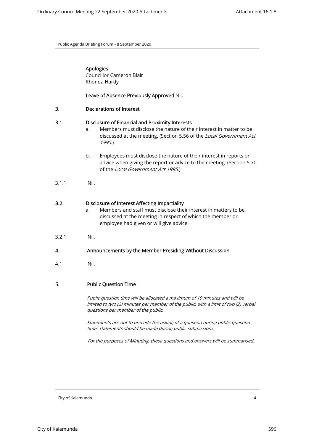| Apologies |
|-----------|
|           |

Councillor Cameron Blair Rhonda Hardy

Leave of Absence Previously Approved Nil.

#### 3.1. Disclosure of Financial and Proximity Interests

- a. Members must disclose the nature of their interest in matter to be discussed at the meeting. (Section 5.56 of the Local Government Act 1995.)
- b. Employees must disclose the nature of their interest in reports or advice when giving the report or advice to the meeting. (Section 5.70 of the Local Government Act 1995.)
- 3.1.1 Nil.

## 3.2. Disclosure of Interest Affecting Impartiality

- a. Members and staff must disclose their interest in matters to be discussed at the meeting in respect of which the member or employee had given or will give advice.
- 3.2.1 Nil.

## 4. Announcements by the Member Presiding Without Discussion

4.1 Nil.

## 5. Public Question Time

Public question time will be allocated a maximum of 10 minutes and will be limited to two (2) minutes per member of the public, with a limit of two (2) verbal questions per member of the public.

Statements are not to precede the asking of a question during public question time. Statements should be made during public submissions.

For the purposes of Minuting, these questions and answers will be summarised.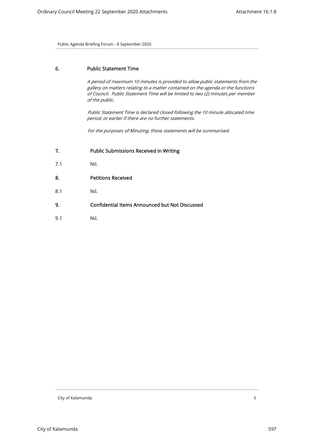# 6. Public Statement Time

A period of maximum 10 minutes is provided to allow public statements from the gallery on matters relating to a matter contained on the agenda or the functions of Council. Public Statement Time will be limited to two (2) minutes per member of the public.

Public Statement Time is declared closed following the 10 minute allocated time period, or earlier if there are no further statements.

For the purposes of Minuting, these statements will be summarised.

- 7.1 Nil.
- 8. Petitions Received
- 8.1 Nil.
- 9. Confidential Items Announced but Not Discussed
- 9.1 Nil.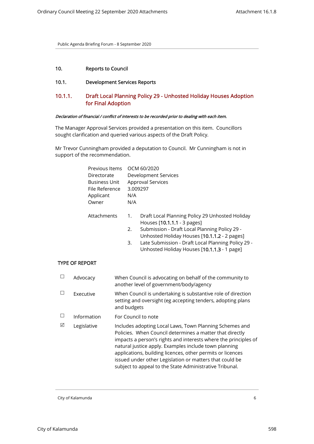# 10. Reports to Council

# 10.1. Development Services Reports

# 10.1.1. Draft Local Planning Policy 29 - Unhosted Holiday Houses Adoption for Final Adoption

#### Declaration of financial / conflict of interests to be recorded prior to dealing with each item.

The Manager Approval Services provided a presentation on this item. Councillors sought clarification and queried various aspects of the Draft Policy.

Mr Trevor Cunningham provided a deputation to Council. Mr Cunningham is not in support of the recommendation.

|                | Previous Items<br>Directorate<br><b>Business Unit</b><br>File Reference<br>Applicant | 3.009297<br>N/A | OCM 60/2020<br>Development Services<br><b>Approval Services</b>                                                                                                                                                                                                                      |
|----------------|--------------------------------------------------------------------------------------|-----------------|--------------------------------------------------------------------------------------------------------------------------------------------------------------------------------------------------------------------------------------------------------------------------------------|
|                | Owner                                                                                | N/A             |                                                                                                                                                                                                                                                                                      |
|                | Attachments                                                                          | 1.<br>2.<br>3.  | Draft Local Planning Policy 29 Unhosted Holiday<br>Houses [10.1.1.1 - 3 pages]<br>Submission - Draft Local Planning Policy 29 -<br>Unhosted Holiday Houses [10.1.1.2 - 2 pages]<br>Late Submission - Draft Local Planning Policy 29 -<br>Unhosted Holiday Houses [10.1.1.3 - 1 page] |
| TYPE OF REPORT |                                                                                      |                 |                                                                                                                                                                                                                                                                                      |

# TYPE OF REPO

|   | Advocacy    | When Council is advocating on behalf of the community to<br>another level of government/body/agency                                                                                                                                                                                                                                                                                                                                 |
|---|-------------|-------------------------------------------------------------------------------------------------------------------------------------------------------------------------------------------------------------------------------------------------------------------------------------------------------------------------------------------------------------------------------------------------------------------------------------|
|   | Executive   | When Council is undertaking is substantive role of direction<br>setting and oversight (eg accepting tenders, adopting plans<br>and budgets                                                                                                                                                                                                                                                                                          |
|   | Information | For Council to note                                                                                                                                                                                                                                                                                                                                                                                                                 |
| ☑ | Legislative | Includes adopting Local Laws, Town Planning Schemes and<br>Policies. When Council determines a matter that directly<br>impacts a person's rights and interests where the principles of<br>natural justice apply. Examples include town planning<br>applications, building licences, other permits or licences<br>issued under other Legislation or matters that could be<br>subject to appeal to the State Administrative Tribunal. |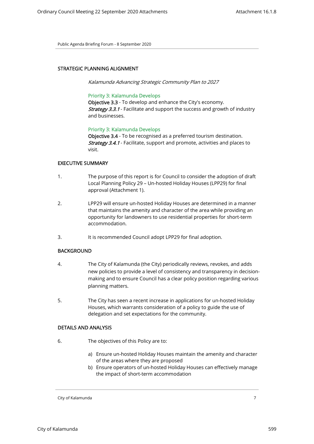## STRATEGIC PLANNING ALIGNMENT

Kalamunda Advancing Strategic Community Plan to 2027

## Priority 3: Kalamunda Develops

Objective 3.3 - To develop and enhance the City's economy. **Strategy 3.3.1** - Facilitate and support the success and growth of industry and businesses.

## Priority 3: Kalamunda Develops

Objective 3.4 - To be recognised as a preferred tourism destination. Strategy 3.4.1 - Facilitate, support and promote, activities and places to visit.

## EXECUTIVE SUMMARY

- 1. The purpose of this report is for Council to consider the adoption of draft Local Planning Policy 29 – Un-hosted Holiday Houses (LPP29) for final approval (Attachment 1).
- 2. LPP29 will ensure un-hosted Holiday Houses are determined in a manner that maintains the amenity and character of the area while providing an opportunity for landowners to use residential properties for short-term accommodation.
- 3. It is recommended Council adopt LPP29 for final adoption.

# **BACKGROUND**

- 4. The City of Kalamunda (the City) periodically reviews, revokes, and adds new policies to provide a level of consistency and transparency in decisionmaking and to ensure Council has a clear policy position regarding various planning matters.
- 5. The City has seen a recent increase in applications for un-hosted Holiday Houses, which warrants consideration of a policy to guide the use of delegation and set expectations for the community.

## DETAILS AND ANALYSIS

- 6. The objectives of this Policy are to:
	- a) Ensure un-hosted Holiday Houses maintain the amenity and character of the areas where they are proposed
	- b) Ensure operators of un-hosted Holiday Houses can effectively manage the impact of short-term accommodation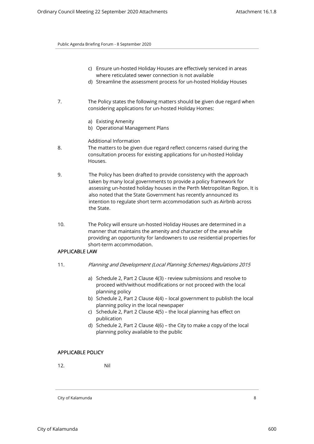- c) Ensure un-hosted Holiday Houses are effectively serviced in areas where reticulated sewer connection is not available
- d) Streamline the assessment process for un-hosted Holiday Houses
- 7. The Policy states the following matters should be given due regard when considering applications for un-hosted Holiday Homes:
	- a) Existing Amenity
	- b) Operational Management Plans

# Additional Information

- 8. The matters to be given due regard reflect concerns raised during the consultation process for existing applications for un-hosted Holiday Houses.
- 9. The Policy has been drafted to provide consistency with the approach taken by many local governments to provide a policy framework for assessing un-hosted holiday houses in the Perth Metropolitan Region. It is also noted that the State Government has recently announced its intention to regulate short term accommodation such as Airbnb across the State.
- 10. The Policy will ensure un-hosted Holiday Houses are determined in a manner that maintains the amenity and character of the area while providing an opportunity for landowners to use residential properties for short-term accommodation.

# APPLICABLE LAW

- 11. Planning and Development (Local Planning Schemes) Regulations 2015
	- a) Schedule 2, Part 2 Clause 4(3) review submissions and resolve to proceed with/without modifications or not proceed with the local planning policy
	- b) Schedule 2, Part 2 Clause 4(4) local government to publish the local planning policy in the local newspaper
	- c) Schedule 2, Part 2 Clause 4(5) the local planning has effect on publication
	- d) Schedule 2, Part 2 Clause 4(6) the City to make a copy of the local planning policy available to the public

## APPLICABLE POLICY

12. Nil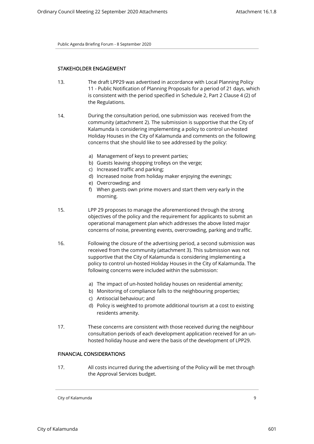## STAKEHOLDER ENGAGEMENT

- 13. The draft LPP29 was advertised in accordance with Local Planning Policy 11 - Public Notification of Planning Proposals for a period of 21 days, which is consistent with the period specified in Schedule 2, Part 2 Clause 4 (2) of the Regulations.
- 14. During the consultation period, one submission was received from the community (attachment 2). The submission is supportive that the City of Kalamunda is considering implementing a policy to control un-hosted Holiday Houses in the City of Kalamunda and comments on the following concerns that she should like to see addressed by the policy:
	- a) Management of keys to prevent parties;
	- b) Guests leaving shopping trolleys on the verge;
	- c) Increased traffic and parking;
	- d) Increased noise from holiday maker enjoying the evenings;
	- e) Overcrowding; and
	- f) When guests own prime movers and start them very early in the morning.
- 15. LPP 29 proposes to manage the aforementioned through the strong objectives of the policy and the requirement for applicants to submit an operational management plan which addresses the above listed major concerns of noise, preventing events, overcrowding, parking and traffic.
- 16. Following the closure of the advertising period, a second submission was received from the community (attachment 3). This submission was not supportive that the City of Kalamunda is considering implementing a policy to control un-hosted Holiday Houses in the City of Kalamunda. The following concerns were included within the submission:
	- a) The impact of un-hosted holiday houses on residential amenity;
	- b) Monitoring of compliance falls to the neighbouring properties;
	- c) Antisocial behaviour; and
	- d) Policy is weighted to promote additional tourism at a cost to existing residents amenity.
- 17. These concerns are consistent with those received during the neighbour consultation periods of each development application received for an unhosted holiday house and were the basis of the development of LPP29.

## FINANCIAL CONSIDERATIONS

17. All costs incurred during the advertising of the Policy will be met through the Approval Services budget.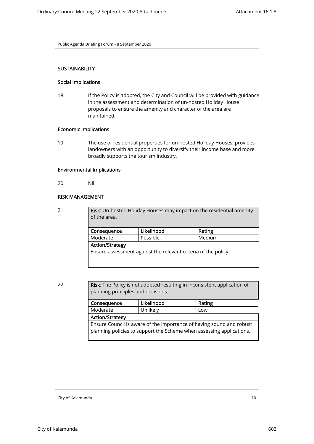## **SUSTAINABILITY**

#### Social Implications

18. If the Policy is adopted, the City and Council will be provided with guidance in the assessment and determination of un-hosted Holiday House proposals to ensure the amenity and character of the area are maintained.

# Economic Implications

19. The use of residential properties for un-hosted Holiday Houses, provides landowners with an opportunity to diversify their income base and more broadly supports the tourism industry.

# Environmental Implications

20. Nil

## RISK MANAGEMENT

21. **Risk:** Un-hosted Holiday Houses may impact on the residential amenity of the area. Consequence | Likelihood | Rating Moderate Possible Medium

> Action/Strategy Ensure assessment against the relevant criteria of the policy.

22. **Risk:** The Policy is not adopted resulting in inconsistent application of planning principles and decisions.

| Consequence                                                                                                                                  | Likelihood | Rating |  |  |
|----------------------------------------------------------------------------------------------------------------------------------------------|------------|--------|--|--|
| Unlikely<br>Moderate                                                                                                                         |            | Low    |  |  |
| <b>Action/Strategy</b>                                                                                                                       |            |        |  |  |
| Ensure Council is aware of the importance of having sound and robust<br>planning policies to support the Scheme when assessing applications. |            |        |  |  |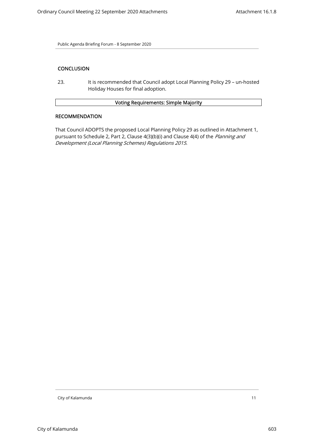# **CONCLUSION**

23. It is recommended that Council adopt Local Planning Policy 29 – un-hosted Holiday Houses for final adoption.

# Voting Requirements: Simple Majority

## RECOMMENDATION

That Council ADOPTS the proposed Local Planning Policy 29 as outlined in Attachment 1, pursuant to Schedule 2, Part 2, Clause 4(3)(b)(i) and Clause 4(4) of the Planning and Development (Local Planning Schemes) Regulations 2015.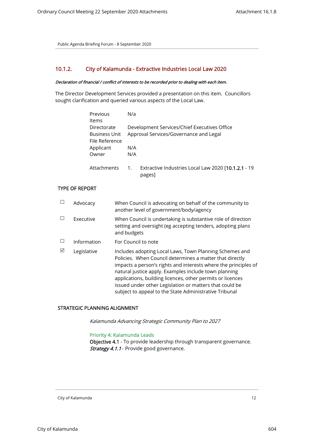# 10.1.2. City of Kalamunda - Extractive Industries Local Law 2020

## Declaration of financial / conflict of interests to be recorded prior to dealing with each item.

The Director Development Services provided a presentation on this item. Councillors sought clarification and queried various aspects of the Local Law.

| Previous             | N/a |                                                     |
|----------------------|-----|-----------------------------------------------------|
| Items                |     |                                                     |
| Directorate          |     | Development Services/Chief Executives Office        |
| <b>Business Unit</b> |     | Approval Services/Governance and Legal              |
| File Reference       |     |                                                     |
| Applicant            | N/A |                                                     |
| Owner                | N/A |                                                     |
| Attachments          | 1.  | Extractive Industries Local Law 2020 [10.1.2.1 - 19 |
|                      |     | pages]                                              |

## TYPE OF REPORT

|   | Advocacy    | When Council is advocating on behalf of the community to<br>another level of government/body/agency                                                                                                                                                                                                                                                                                                                                |
|---|-------------|------------------------------------------------------------------------------------------------------------------------------------------------------------------------------------------------------------------------------------------------------------------------------------------------------------------------------------------------------------------------------------------------------------------------------------|
|   | Executive   | When Council is undertaking is substantive role of direction<br>setting and oversight (eg accepting tenders, adopting plans<br>and budgets                                                                                                                                                                                                                                                                                         |
|   | Information | For Council to note                                                                                                                                                                                                                                                                                                                                                                                                                |
| ⊠ | Legislative | Includes adopting Local Laws, Town Planning Schemes and<br>Policies. When Council determines a matter that directly<br>impacts a person's rights and interests where the principles of<br>natural justice apply. Examples include town planning<br>applications, building licences, other permits or licences<br>issued under other Legislation or matters that could be<br>subject to appeal to the State Administrative Tribunal |

# STRATEGIC PLANNING ALIGNMENT

Kalamunda Advancing Strategic Community Plan to 2027

## Priority 4: Kalamunda Leads

Objective 4.1 - To provide leadership through transparent governance. Strategy 4.1.1 - Provide good governance.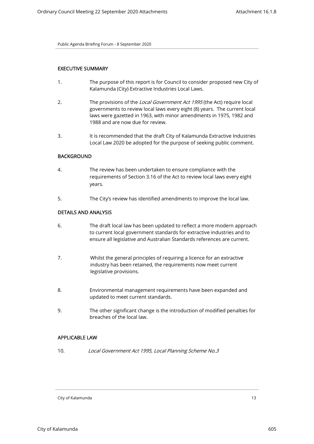# EXECUTIVE SUMMARY

- 1. The purpose of this report is for Council to consider proposed new City of Kalamunda (City) Extractive Industries Local Laws.
- 2. The provisions of the Local Government Act 1995 (the Act) require local governments to review local laws every eight (8) years. The current local laws were gazetted in 1963, with minor amendments in 1975, 1982 and 1988 and are now due for review.
- 3. It is recommended that the draft City of Kalamunda Extractive Industries Local Law 2020 be adopted for the purpose of seeking public comment.

## BACKGROUND

- 4. The review has been undertaken to ensure compliance with the requirements of Section 3.16 of the Act to review local laws every eight years.
- 5. The City's review has identified amendments to improve the local law.

# DETAILS AND ANALYSIS

- 6. The draft local law has been updated to reflect a more modern approach to current local government standards for extractive industries and to ensure all legislative and Australian Standards references are current.
- 7. Whilst the general principles of requiring a licence for an extractive industry has been retained, the requirements now meet current legislative provisions.
- 8. Environmental management requirements have been expanded and updated to meet current standards.
- 9. The other significant change is the introduction of modified penalties for breaches of the local law.

## APPLICABLE LAW

10. Local Government Act 1995, Local Planning Scheme No.3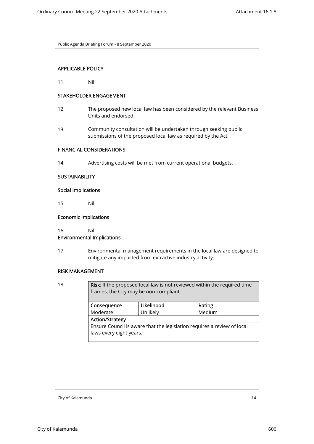# APPLICABLE POLICY

11. Nil

# STAKEHOLDER ENGAGEMENT

- 12. The proposed new local law has been considered by the relevant Business Units and endorsed.
- 13. Community consultation will be undertaken through seeking public submissions of the proposed local law as required by the Act.

## FINANCIAL CONSIDERATIONS

14. Advertising costs will be met from current operational budgets.

## **SUSTAINABILITY**

## Social Implications

15. Nil

## Economic Implications

16. Nil

## Environmental Implications

17. Environmental management requirements in the local law are designed to mitigate any impacted from extractive industry activity.

## RISK MANAGEMENT

18. **Risk:** If the proposed local law is not reviewed within the required time frames, the City may be non-compliant. Consequence | Likelihood | Rating Moderate | Unlikely | Medium Action/Strategy Ensure Council is aware that the legislation requires a review of local laws every eight years.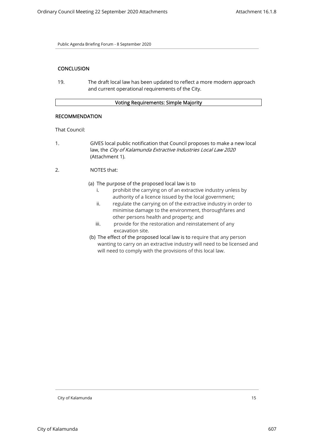# **CONCLUSION**

19. The draft local law has been updated to reflect a more modern approach and current operational requirements of the City.

## Voting Requirements: Simple Majority

# RECOMMENDATION

That Council:

- 1. GIVES local public notification that Council proposes to make a new local law, the City of Kalamunda Extractive Industries Local Law 2020 (Attachment 1).
- 2. NOTES that:
	- (a) The purpose of the proposed local law is to
		- i. prohibit the carrying on of an extractive industry unless by authority of a licence issued by the local government;
		- ii. regulate the carrying on of the extractive industry in order to minimise damage to the environment, thoroughfares and other persons health and property; and
		- iii. provide for the restoration and reinstatement of any excavation site.
	- (b) The effect of the proposed local law is to require that any person wanting to carry on an extractive industry will need to be licensed and will need to comply with the provisions of this local law.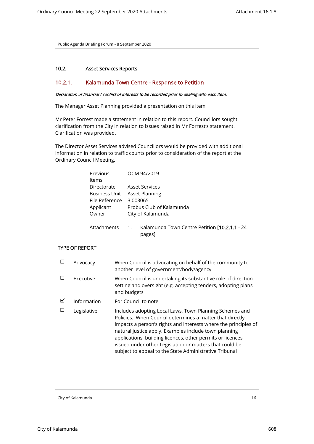# 10.2. Asset Services Reports

# 10.2.1. Kalamunda Town Centre - Response to Petition

#### Declaration of financial / conflict of interests to be recorded prior to dealing with each item.

The Manager Asset Planning provided a presentation on this item

Mr Peter Forrest made a statement in relation to this report. Councillors sought clarification from the City in relation to issues raised in Mr Forrest's statement. Clarification was provided.

The Director Asset Services advised Councillors would be provided with additional information in relation to traffic counts prior to consideration of the report at the Ordinary Council Meeting.

| Previous    |                   | OCM 94/2019                                   |
|-------------|-------------------|-----------------------------------------------|
| Items       |                   |                                               |
| Directorate |                   | <b>Asset Services</b>                         |
|             | Business Unit     | <b>Asset Planning</b>                         |
|             | File Reference    | 3.003065                                      |
| Applicant   |                   | Probus Club of Kalamunda                      |
| Owner       |                   | City of Kalamunda                             |
|             |                   |                                               |
|             | Attachments<br>1. | Kalamunda Town Centre Petition [10.2.1.1 - 24 |

## pages]

# TYPE OF REPORT

| П | Advocacy    | When Council is advocating on behalf of the community to<br>another level of government/body/agency                                                                                                                                                                                                                                                                                                                                |
|---|-------------|------------------------------------------------------------------------------------------------------------------------------------------------------------------------------------------------------------------------------------------------------------------------------------------------------------------------------------------------------------------------------------------------------------------------------------|
| П | Executive   | When Council is undertaking its substantive role of direction<br>setting and oversight (e.g. accepting tenders, adopting plans<br>and budgets                                                                                                                                                                                                                                                                                      |
| ☑ | Information | For Council to note                                                                                                                                                                                                                                                                                                                                                                                                                |
|   | Legislative | Includes adopting Local Laws, Town Planning Schemes and<br>Policies. When Council determines a matter that directly<br>impacts a person's rights and interests where the principles of<br>natural justice apply. Examples include town planning<br>applications, building licences, other permits or licences<br>issued under other Legislation or matters that could be<br>subject to appeal to the State Administrative Tribunal |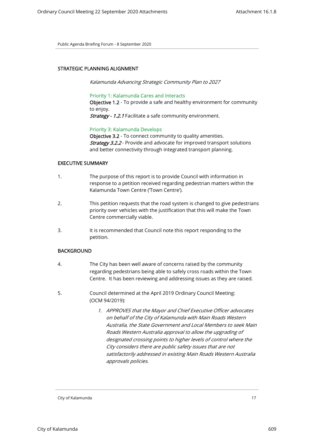## STRATEGIC PLANNING ALIGNMENT

Kalamunda Advancing Strategic Community Plan to 2027

#### Priority 1: Kalamunda Cares and Interacts

Objective 1.2 - To provide a safe and healthy environment for community to enjoy.

Strategy - 1.2.1 Facilitate a safe community environment.

## Priority 3: Kalamunda Develops

Objective 3.2 - To connect community to quality amenities. **Strategy 3.2.2** - Provide and advocate for improved transport solutions and better connectivity through integrated transport planning.

## EXECUTIVE SUMMARY

- 1. The purpose of this report is to provide Council with information in response to a petition received regarding pedestrian matters within the Kalamunda Town Centre ('Town Centre').
- 2. This petition requests that the road system is changed to give pedestrians priority over vehicles with the justification that this will make the Town Centre commercially viable.
- 3. It is recommended that Council note this report responding to the petition.

# **BACKGROUND**

- 4. The City has been well aware of concerns raised by the community regarding pedestrians being able to safely cross roads within the Town Centre. It has been reviewing and addressing issues as they are raised.
- 5. Council determined at the April 2019 Ordinary Council Meeting: (OCM 94/2019):
	- 1. APPROVES that the Mayor and Chief Executive Officer advocates on behalf of the City of Kalamunda with Main Roads Western Australia, the State Government and Local Members to seek Main Roads Western Australia approval to allow the upgrading of designated crossing points to higher levels of control where the City considers there are public safety issues that are not satisfactorily addressed in existing Main Roads Western Australia approvals policies.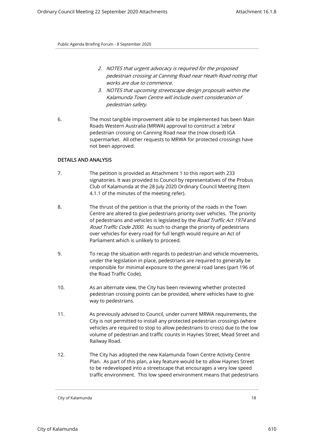- 2. NOTES that urgent advocacy is required for the proposed pedestrian crossing at Canning Road near Heath Road noting that works are due to commence.
- 3. NOTES that upcoming streetscape design proposals within the Kalamunda Town Centre will include overt consideration of pedestrian safety.
- 6. The most tangible improvement able to be implemented has been Main Roads Western Australia (MRWA) approval to construct a 'zebra' pedestrian crossing on Canning Road near the (now closed) IGA supermarket. All other requests to MRWA for protected crossings have not been approved.

## DETAILS AND ANALYSIS

- 7. The petition is provided as Attachment 1 to this report with 233 signatories. It was provided to Council by representatives of the Probus Club of Kalamunda at the 28 July 2020 Ordinary Council Meeting (Item 4.1.1 of the minutes of the meeting refer).
- 8. The thrust of the petition is that the priority of the roads in the Town Centre are altered to give pedestrians priority over vehicles. The priority of pedestrians and vehicles is legislated by the Road Traffic Act 1974 and Road Traffic Code 2000. As such to change the priority of pedestrians over vehicles for every road for full length would require an Act of Parliament which is unlikely to proceed.
- 9. To recap the situation with regards to pedestrian and vehicle movements, under the legislation in place, pedestrians are required to generally be responsible for minimal exposure to the general road lanes (part 196 of the Road Traffic Code).
- 10. As an alternate view, the City has been reviewing whether protected pedestrian crossing points can be provided, where vehicles have to give way to pedestrians.
- 11. As previously advised to Council, under current MRWA requirements, the City is not permitted to install any protected pedestrian crossings (where vehicles are required to stop to allow pedestrians to cross) due to the low volume of pedestrian and traffic counts in Haynes Street, Mead Street and Railway Road.
- 12. The City has adopted the new Kalamunda Town Centre Activity Centre Plan. As part of this plan, a key feature would be to allow Haynes Street to be redeveloped into a streetscape that encourages a very low speed traffic environment. This low speed environment means that pedestrians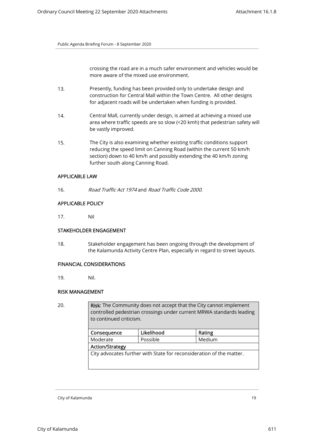crossing the road are in a much safer environment and vehicles would be more aware of the mixed use environment.

- 13. Presently, funding has been provided only to undertake design and construction for Central Mall within the Town Centre. All other designs for adjacent roads will be undertaken when funding is provided.
- 14. Central Mall, currently under design, is aimed at achieving a mixed use area where traffic speeds are so slow (<20 kmh) that pedestrian safety will be vastly improved.
- 15. The City is also examining whether existing traffic conditions support reducing the speed limit on Canning Road (within the current 50 km/h section) down to 40 km/h and possibly extending the 40 km/h zoning further south along Canning Road.

# APPLICABLE LAW

16. Road Traffic Act 1974 and Road Traffic Code 2000.

# APPLICABLE POLICY

17. Nil

# STAKEHOLDER ENGAGEMENT

18. Stakeholder engagement has been ongoing through the development of the Kalamunda Activity Centre Plan, especially in regard to street layouts.

# FINANCIAL CONSIDERATIONS

19. Nil.

# RISK MANAGEMENT

20. **Risk:** The Community does not accept that the City cannot implement controlled pedestrian crossings under current MRWA standards leading to continued criticism.

| Consequence                                                          | Likelihood | Rating |  |  |  |
|----------------------------------------------------------------------|------------|--------|--|--|--|
| Possible<br>Moderate                                                 |            | Medium |  |  |  |
| <b>Action/Strategy</b>                                               |            |        |  |  |  |
| City advocates further with State for reconsideration of the matter. |            |        |  |  |  |
|                                                                      |            |        |  |  |  |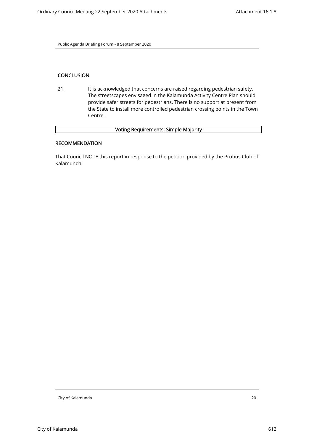# **CONCLUSION**

21. It is acknowledged that concerns are raised regarding pedestrian safety. The streetscapes envisaged in the Kalamunda Activity Centre Plan should provide safer streets for pedestrians. There is no support at present from the State to install more controlled pedestrian crossing points in the Town Centre.

# Voting Requirements: Simple Majority

# RECOMMENDATION

That Council NOTE this report in response to the petition provided by the Probus Club of Kalamunda.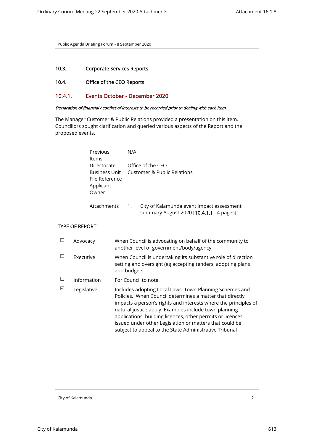# 10.3. Corporate Services Reports

# 10.4. Office of the CEO Reports

# 10.4.1. Events October - December 2020

## Declaration of financial / conflict of interests to be recorded prior to dealing with each item.

The Manager Customer & Public Relations provided a presentation on this item. Councillors sought clarification and queried various aspects of the Report and the proposed events.

| Previous<br>ltems                                                    | N/A |                                                                                       |
|----------------------------------------------------------------------|-----|---------------------------------------------------------------------------------------|
| Directorate<br>Business Unit<br>File Reference<br>Applicant<br>Owner |     | Office of the CEO<br>Customer & Public Relations                                      |
| Attachments                                                          | 1.  | City of Kalamunda event impact assessment<br>summary August 2020 [10.4.1.1 - 4 pages] |

## TYPE OF REPORT

|   | Advocacy    | When Council is advocating on behalf of the community to<br>another level of government/body/agency                                                                                                                                                                                                                                                                                                                                |
|---|-------------|------------------------------------------------------------------------------------------------------------------------------------------------------------------------------------------------------------------------------------------------------------------------------------------------------------------------------------------------------------------------------------------------------------------------------------|
|   | Executive   | When Council is undertaking its substantive role of direction<br>setting and oversight (eg accepting tenders, adopting plans<br>and budgets                                                                                                                                                                                                                                                                                        |
|   | Information | For Council to note                                                                                                                                                                                                                                                                                                                                                                                                                |
| ⊠ | Legislative | Includes adopting Local Laws, Town Planning Schemes and<br>Policies. When Council determines a matter that directly<br>impacts a person's rights and interests where the principles of<br>natural justice apply. Examples include town planning<br>applications, building licences, other permits or licences<br>issued under other Legislation or matters that could be<br>subject to appeal to the State Administrative Tribunal |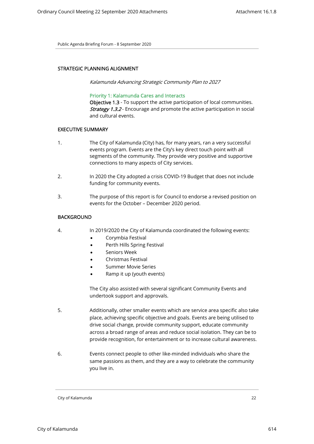## STRATEGIC PLANNING ALIGNMENT

Kalamunda Advancing Strategic Community Plan to 2027

## Priority 1: Kalamunda Cares and Interacts

Objective 1.3 - To support the active participation of local communities. **Strategy 1.3.2** - Encourage and promote the active participation in social and cultural events.

# EXECUTIVE SUMMARY

- 1. The City of Kalamunda (City) has, for many years, ran a very successful events program. Events are the City's key direct touch point with all segments of the community. They provide very positive and supportive connections to many aspects of City services.
- 2. In 2020 the City adopted a crisis COVID-19 Budget that does not include funding for community events.
- 3. The purpose of this report is for Council to endorse a revised position on events for the October – December 2020 period.

# **BACKGROUND**

- 4. In 2019/2020 the City of Kalamunda coordinated the following events:
	- Corymbia Festival
	- Perth Hills Spring Festival
	- Seniors Week
	- Christmas Festival
	- Summer Movie Series
	- Ramp it up (youth events)

The City also assisted with several significant Community Events and undertook support and approvals.

- 5. Additionally, other smaller events which are service area specific also take place, achieving specific objective and goals. Events are being utilised to drive social change, provide community support, educate community across a broad range of areas and reduce social isolation. They can be to provide recognition, for entertainment or to increase cultural awareness.
- 6. Events connect people to other like-minded individuals who share the same passions as them, and they are a way to celebrate the community you live in.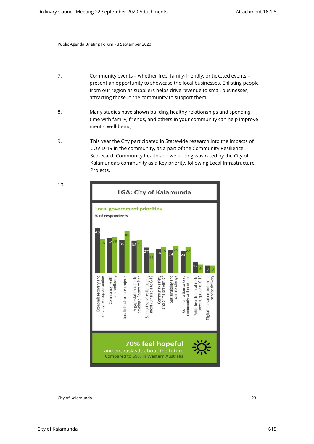- 7. Community events whether free, family-friendly, or ticketed events present an opportunity to showcase the local businesses. Enlisting people from our region as suppliers helps drive revenue to small businesses, attracting those in the community to support them.
- 8. Many studies have shown building healthy relationships and spending time with family, friends, and others in your community can help improve mental well-being.
- 9. This year the City participated in Statewide research into the impacts of COVID-19 in the community, as a part of the Community Resilience Scorecard. Community health and well-being was rated by the City of Kalamunda's community as a Key priority, following Local Infrastructure Projects.



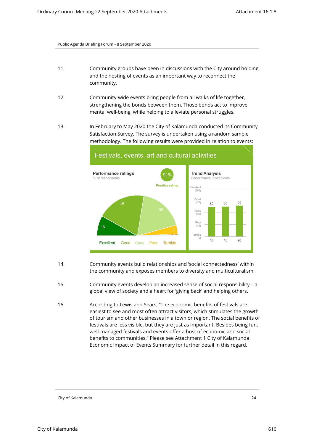- 11. Community groups have been in discussions with the City around holding and the hosting of events as an important way to reconnect the community.
- 12. Community-wide events bring people from all walks of life together, strengthening the bonds between them. Those bonds act to improve mental well-being, while helping to alleviate personal struggles.
- 13. In February to May 2020 the City of Kalamunda conducted its Community Satisfaction Survey. The survey is undertaken using a random sample methodology. The following results were provided in relation to events:



- 14. Community events build relationships and 'social connectedness' within the community and exposes members to diversity and multiculturalism.
- 15. Community events develop an increased sense of social responsibility a global view of society and a heart for 'giving back' and helping others.
- 16. According to Lewis and Sears, "The economic benefits of festivals are easiest to see and most often attract visitors, which stimulates the growth of tourism and other businesses in a town or region. The social benefits of festivals are less visible, but they are just as important. Besides being fun, well-managed festivals and events offer a host of economic and social benefits to communities." Please see Attachment 1 City of Kalamunda Economic Impact of Events Summary for further detail in this regard.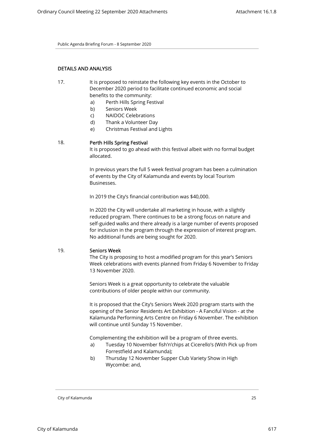# DETAILS AND ANALYSIS

- 17. It is proposed to reinstate the following key events in the October to December 2020 period to facilitate continued economic and social benefits to the community:
	- a) Perth Hills Spring Festival
	- b) Seniors Week
	- c) NAIDOC Celebrations
	- d) Thank a Volunteer Day
	- e) Christmas Festival and Lights

## 18. Perth Hills Spring Festival

It is proposed to go ahead with this festival albeit with no formal budget allocated.

In previous years the full 5 week festival program has been a culmination of events by the City of Kalamunda and events by local Tourism Businesses.

In 2019 the City's financial contribution was \$40,000.

In 2020 the City will undertake all marketing in house, with a slightly reduced program. There continues to be a strong focus on nature and self-guided walks and there already is a large number of events proposed for inclusion in the program through the expression of interest program. No additional funds are being sought for 2020.

## 19. Seniors Week

The City is proposing to host a modified program for this year's Seniors Week celebrations with events planned from Friday 6 November to Friday 13 November 2020.

Seniors Week is a great opportunity to celebrate the valuable contributions of older people within our community.

It is proposed that the City's Seniors Week 2020 program starts with the opening of the Senior Residents Art Exhibition - A Fanciful Vision - at the Kalamunda Performing Arts Centre on Friday 6 November. The exhibition will continue until Sunday 15 November.

Complementing the exhibition will be a program of three events.

- a) Tuesday 10 November fish'n'chips at Cicerello's (With Pick up from Forrestfield and Kalamunda);
- b) Thursday 12 November Supper Club Variety Show in High Wycombe: and,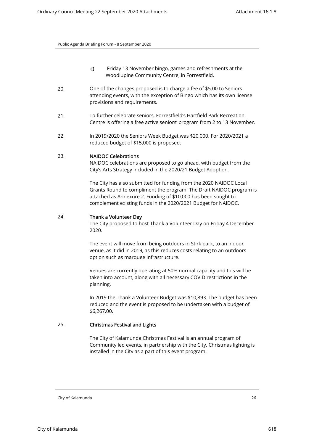- c) Friday 13 November bingo, games and refreshments at the Woodlupine Community Centre, in Forrestfield.
- 20. One of the changes proposed is to charge a fee of \$5.00 to Seniors attending events, with the exception of Bingo which has its own license provisions and requirements.
- 21. To further celebrate seniors, Forrestfield's Hartfield Park Recreation Centre is offering a free active seniors' program from 2 to 13 November.
- 22. In 2019/2020 the Seniors Week Budget was \$20,000. For 2020/2021 a reduced budget of \$15,000 is proposed.

## 23. NAIDOC Celebrations

NAIDOC celebrations are proposed to go ahead, with budget from the City's Arts Strategy included in the 2020/21 Budget Adoption.

The City has also submitted for funding from the 2020 NAIDOC Local Grants Round to compliment the program. The Draft NAIDOC program is attached as Annexure 2. Funding of \$10,000 has been sought to complement existing funds in the 2020/2021 Budget for NAIDOC.

# 24. Thank a Volunteer Day

The City proposed to host Thank a Volunteer Day on Friday 4 December 2020.

The event will move from being outdoors in Stirk park, to an indoor venue, as it did in 2019, as this reduces costs relating to an outdoors option such as marquee infrastructure.

Venues are currently operating at 50% normal capacity and this will be taken into account, along with all necessary COVID restrictions in the planning.

In 2019 the Thank a Volunteer Budget was \$10,893. The budget has been reduced and the event is proposed to be undertaken with a budget of \$6,267.00.

## 25. Christmas Festival and Lights

The City of Kalamunda Christmas Festival is an annual program of Community led events, in partnership with the City. Christmas lighting is installed in the City as a part of this event program.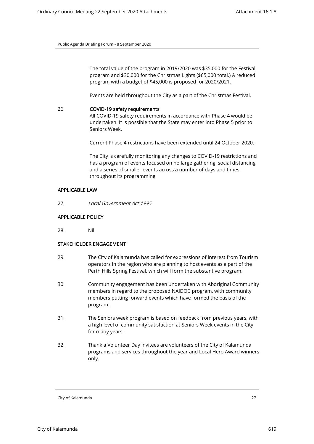The total value of the program in 2019/2020 was \$35,000 for the Festival program and \$30,000 for the Christmas Lights (\$65,000 total.) A reduced program with a budget of \$45,000 is proposed for 2020/2021.

Events are held throughout the City as a part of the Christmas Festival.

26. COVID-19 safety requirements All COVID-19 safety requirements in accordance with Phase 4 would be undertaken. It is possible that the State may enter into Phase 5 prior to Seniors Week.

Current Phase 4 restrictions have been extended until 24 October 2020.

The City is carefully monitoring any changes to COVID-19 restrictions and has a program of events focused on no large gathering, social distancing and a series of smaller events across a number of days and times throughout its programming.

#### APPLICABLE LAW

27. Local Government Act 1995

# APPLICABLE POLICY

28. Nil

## STAKEHOLDER ENGAGEMENT

- 29. The City of Kalamunda has called for expressions of interest from Tourism operators in the region who are planning to host events as a part of the Perth Hills Spring Festival, which will form the substantive program.
- 30. Community engagement has been undertaken with Aboriginal Community members in regard to the proposed NAIDOC program, with community members putting forward events which have formed the basis of the program.
- 31. The Seniors week program is based on feedback from previous years, with a high level of community satisfaction at Seniors Week events in the City for many years.
- 32. Thank a Volunteer Day invitees are volunteers of the City of Kalamunda programs and services throughout the year and Local Hero Award winners only.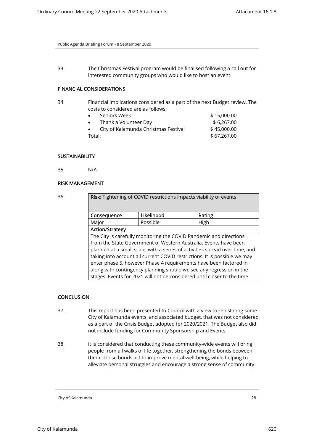33. The Christmas Festival program would be finalised following a call out for interested community groups who would like to host an event.

# FINANCIAL CONSIDERATIONS

- 34. Financial implications considered as a part of the next Budget review. The costs to considered are as follows:
	- Seniors Week \$ 15,000.00 Thank a Volunteer Day  $$6,267.00$ • City of Kalamunda Christmas Festival \$45,000.00 Total: \$67,267.00

# **SUSTAINABILITY**

35. N/A

## RISK MANAGEMENT

| Likelihood<br>Rating<br>Consequence<br>Possible<br>High<br>Major<br><b>Action/Strategy</b><br>The City is carefully monitoring the COVID Pandemic and directions<br>from the State Government of Western Australia. Events have been<br>enter phase 5, however Phase 4 requirements have been factored in<br>along with contingency planning should we see any regression in the | Risk: Tightening of COVID restrictions impacts viability of events          |  |  |  |
|----------------------------------------------------------------------------------------------------------------------------------------------------------------------------------------------------------------------------------------------------------------------------------------------------------------------------------------------------------------------------------|-----------------------------------------------------------------------------|--|--|--|
|                                                                                                                                                                                                                                                                                                                                                                                  |                                                                             |  |  |  |
|                                                                                                                                                                                                                                                                                                                                                                                  |                                                                             |  |  |  |
|                                                                                                                                                                                                                                                                                                                                                                                  |                                                                             |  |  |  |
|                                                                                                                                                                                                                                                                                                                                                                                  |                                                                             |  |  |  |
|                                                                                                                                                                                                                                                                                                                                                                                  |                                                                             |  |  |  |
|                                                                                                                                                                                                                                                                                                                                                                                  | planned at a small scale, with a series of activities spread over time, and |  |  |  |
|                                                                                                                                                                                                                                                                                                                                                                                  | taking into account all current COVID restrictions. It is possible we may   |  |  |  |
|                                                                                                                                                                                                                                                                                                                                                                                  |                                                                             |  |  |  |
|                                                                                                                                                                                                                                                                                                                                                                                  |                                                                             |  |  |  |
| stages. Events for 2021 will not be considered until closer to the time.                                                                                                                                                                                                                                                                                                         |                                                                             |  |  |  |

# **CONCLUSION**

- 37. This report has been presented to Council with a view to reinstating some City of Kalamunda events, and associated budget, that was not considered as a part of the Crisis Budget adopted for 2020/2021. The Budget also did not include funding for Community Sponsorship and Events.
- 38. It is considered that conducting these community-wide events will bring people from all walks of life together, strengthening the bonds between them. Those bonds act to improve mental well-being, while helping to alleviate personal struggles and encourage a strong sense of community.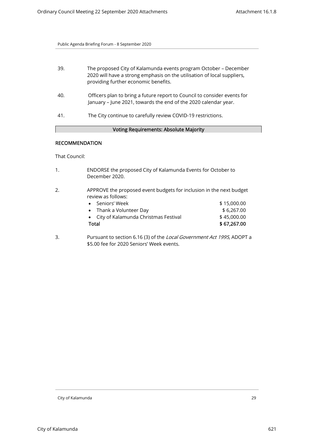| 39. | The proposed City of Kalamunda events program October - December<br>2020 will have a strong emphasis on the utilisation of local suppliers,<br>providing further economic benefits. |
|-----|-------------------------------------------------------------------------------------------------------------------------------------------------------------------------------------|
| 40. | Officers plan to bring a future report to Council to consider events for<br>January - June 2021, towards the end of the 2020 calendar year.                                         |
| 41. | The City continue to carefully review COVID-19 restrictions.                                                                                                                        |

# Voting Requirements: Absolute Majority

# RECOMMENDATION

That Council:

1. ENDORSE the proposed City of Kalamunda Events for October to December 2020.

# 2. APPROVE the proposed event budgets for inclusion in the next budget review as follows:

| Total |                                        | \$67,267.00 |
|-------|----------------------------------------|-------------|
|       | • City of Kalamunda Christmas Festival | \$45,000.00 |
|       | • Thank a Volunteer Day                | \$6.267.00  |
|       | • Seniors' Week                        | \$15,000,00 |

3. Pursuant to section 6.16 (3) of the Local Government Act 1995, ADOPT a \$5.00 fee for 2020 Seniors' Week events.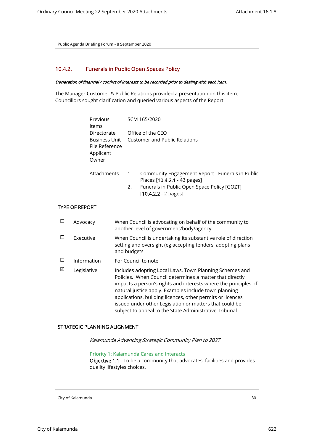# 10.4.2. Funerals in Public Open Spaces Policy

## Declaration of financial / conflict of interests to be recorded prior to dealing with each item.

The Manager Customer & Public Relations provided a presentation on this item. Councillors sought clarification and queried various aspects of the Report.

| Previous<br><b>Items</b>                                             |    | SCM 165/2020                                                                     |
|----------------------------------------------------------------------|----|----------------------------------------------------------------------------------|
| Directorate<br>Business Unit<br>File Reference<br>Applicant<br>Owner |    | Office of the CEO<br><b>Customer and Public Relations</b>                        |
| Attachments                                                          | 1. | Community Engagement Report - Funerals in Public<br>Places [10.4.2.1 - 43 pages] |

<sup>2.</sup> Funerals in Public Open Space Policy [GOZT]  $[10.4.2.2 - 2$  pages]

# TYPE OF REPORT

|   | Advocacy    | When Council is advocating on behalf of the community to<br>another level of government/body/agency                                                                                                                                                                                                                                                                                                                                |
|---|-------------|------------------------------------------------------------------------------------------------------------------------------------------------------------------------------------------------------------------------------------------------------------------------------------------------------------------------------------------------------------------------------------------------------------------------------------|
|   | Executive   | When Council is undertaking its substantive role of direction<br>setting and oversight (eg accepting tenders, adopting plans<br>and budgets                                                                                                                                                                                                                                                                                        |
|   | Information | For Council to note                                                                                                                                                                                                                                                                                                                                                                                                                |
| ☑ | Legislative | Includes adopting Local Laws, Town Planning Schemes and<br>Policies. When Council determines a matter that directly<br>impacts a person's rights and interests where the principles of<br>natural justice apply. Examples include town planning<br>applications, building licences, other permits or licences<br>issued under other Legislation or matters that could be<br>subject to appeal to the State Administrative Tribunal |

#### STRATEGIC PLANNING ALIGNMENT

Kalamunda Advancing Strategic Community Plan to 2027

## Priority 1: Kalamunda Cares and Interacts

Objective 1.1 - To be a community that advocates, facilities and provides quality lifestyles choices.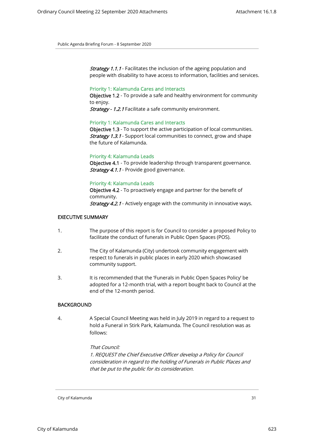**Strategy 1.1.1** - Facilitates the inclusion of the ageing population and people with disability to have access to information, facilities and services.

## Priority 1: Kalamunda Cares and Interacts

Objective 1.2 - To provide a safe and healthy environment for community to enjoy.

Strategy - 1.2.1 Facilitate a safe community environment.

#### Priority 1: Kalamunda Cares and Interacts

Objective 1.3 - To support the active participation of local communities. **Strategy 1.3.1** - Support local communities to connect, grow and shape the future of Kalamunda.

## Priority 4: Kalamunda Leads

Objective 4.1 - To provide leadership through transparent governance. Strategy 4.1.1 - Provide good governance.

#### Priority 4: Kalamunda Leads

Objective 4.2 - To proactively engage and partner for the benefit of community. **Strategy 4.2.1** - Actively engage with the community in innovative ways.

## EXECUTIVE SUMMARY

- 1. The purpose of this report is for Council to consider a proposed Policy to facilitate the conduct of funerals in Public Open Spaces (POS).
- 2. The City of Kalamunda (City) undertook community engagement with respect to funerals in public places in early 2020 which showcased community support.
- 3. It is recommended that the 'Funerals in Public Open Spaces Policy' be adopted for a 12-month trial, with a report bought back to Council at the end of the 12-month period.

#### BACKGROUND

4. A Special Council Meeting was held in July 2019 in regard to a request to hold a Funeral in Stirk Park, Kalamunda. The Council resolution was as follows:

#### That Council:

1. REQUEST the Chief Executive Officer develop a Policy for Council consideration in regard to the holding of Funerals in Public Places and that be put to the public for its consideration.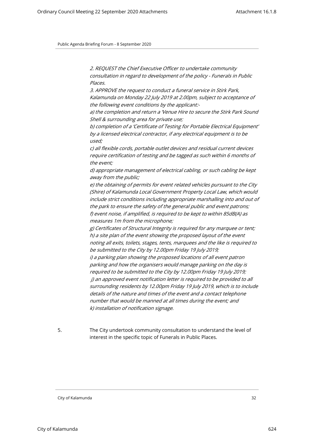2. REQUEST the Chief Executive Officer to undertake community consultation in regard to development of the policy - Funerals in Public Places.

3. APPROVE the request to conduct a funeral service in Stirk Park, Kalamunda on Monday 22 July 2019 at 2.00pm, subject to acceptance of the following event conditions by the applicant:-

a) the completion and return a 'Venue Hire to secure the Stirk Park Sound Shell & surrounding area for private use;

b) completion of a 'Certificate of Testing for Portable Electrical Equipment' by a licensed electrical contractor, if any electrical equipment is to be used;

c) all flexible cords, portable outlet devices and residual current devices require certification of testing and be tagged as such within 6 months of the event;

d) appropriate management of electrical cabling, or such cabling be kept away from the public;

e) the obtaining of permits for event related vehicles pursuant to the City (Shire) of Kalamunda Local Government Property Local Law, which would include strict conditions including appropriate marshalling into and out of the park to ensure the safety of the general public and event patrons; f) event noise, if amplified, is required to be kept to within 85dB(A) as measures 1m from the microphone;

g) Certificates of Structural Integrity is required for any marquee or tent; h) a site plan of the event showing the proposed layout of the event noting all exits, toilets, stages, tents, marquees and the like is required to be submitted to the City by 12.00pm Friday 19 July 2019; i) a parking plan showing the proposed locations of all event patron

parking and how the organisers would manage parking on the day is required to be submitted to the City by 12.00pm Friday 19 July 2019; j) an approved event notification letter is required to be provided to all surrounding residents by 12.00pm Friday 19 July 2019, which is to include details of the nature and times of the event and a contact telephone number that would be manned at all times during the event; and k) installation of notification signage.

5. The City undertook community consultation to understand the level of interest in the specific topic of Funerals in Public Places.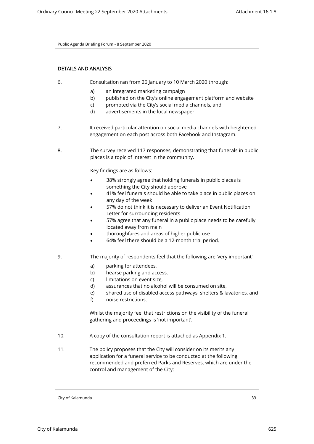# DETAILS AND ANALYSIS

- 6. Consultation ran from 26 January to 10 March 2020 through:
	- a) an integrated marketing campaign
	- b) published on the City's online engagement platform and website
	- c) promoted via the City's social media channels, and
	- d) advertisements in the local newspaper.
- 7. It received particular attention on social media channels with heightened engagement on each post across both Facebook and Instagram.
- 8. The survey received 117 responses, demonstrating that funerals in public places is a topic of interest in the community.

Key findings are as follows:

- 38% strongly agree that holding funerals in public places is something the City should approve
- 41% feel funerals should be able to take place in public places on any day of the week
- 57% do not think it is necessary to deliver an Event Notification Letter for surrounding residents
- 57% agree that any funeral in a public place needs to be carefully located away from main
- thoroughfares and areas of higher public use
- 64% feel there should be a 12-month trial period.
- 9. The majority of respondents feel that the following are 'very important';
	- a) parking for attendees,
	- b) hearse parking and access,
	- c) limitations on event size,
	- d) assurances that no alcohol will be consumed on site,
	- e) shared use of disabled access pathways, shelters & lavatories, and
	- f) noise restrictions.

Whilst the majority feel that restrictions on the visibility of the funeral gathering and proceedings is 'not important'.

- 10. A copy of the consultation report is attached as Appendix 1.
- 11. The policy proposes that the City will consider on its merits any application for a funeral service to be conducted at the following recommended and preferred Parks and Reserves, which are under the control and management of the City: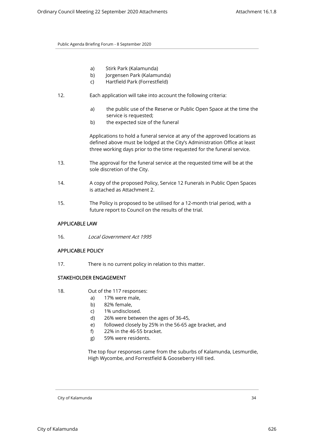- a) Stirk Park (Kalamunda)
- b) Jorgensen Park (Kalamunda)
- c) Hartfield Park (Forrestfield)
- 12. Each application will take into account the following criteria:
	- a) the public use of the Reserve or Public Open Space at the time the service is requested;
	- b) the expected size of the funeral

Applications to hold a funeral service at any of the approved locations as defined above must be lodged at the City's Administration Office at least three working days prior to the time requested for the funeral service.

- 13. The approval for the funeral service at the requested time will be at the sole discretion of the City.
- 14. A copy of the proposed Policy, Service 12 Funerals in Public Open Spaces is attached as Attachment 2.
- 15. The Policy is proposed to be utilised for a 12-month trial period, with a future report to Council on the results of the trial.

# APPLICABLE LAW

16. Local Government Act 1995

# APPLICABLE POLICY

17. There is no current policy in relation to this matter.

## STAKEHOLDER ENGAGEMENT

- 18. Out of the 117 responses:
	- a) 17% were male,
	- b) 82% female,
	- c) 1% undisclosed.
	- d) 26% were between the ages of 36-45,
	- e) followed closely by 25% in the 56-65 age bracket, and
	- f) 22% in the 46-55 bracket.
	- g) 59% were residents.

The top four responses came from the suburbs of Kalamunda, Lesmurdie, High Wycombe, and Forrestfield & Gooseberry Hill tied.

City of Kalamunda 34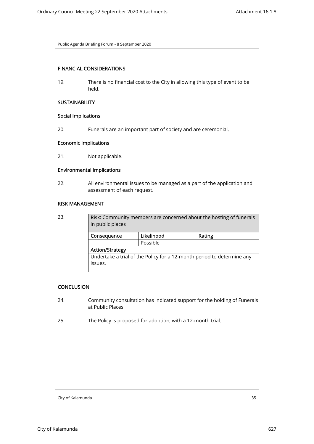# FINANCIAL CONSIDERATIONS

19. There is no financial cost to the City in allowing this type of event to be held.

# **SUSTAINABILITY**

## Social Implications

20. Funerals are an important part of society and are ceremonial.

# Economic Implications

21. Not applicable.

# Environmental Implications

22. All environmental issues to be managed as a part of the application and assessment of each request.

## RISK MANAGEMENT

| 23. | <b>Risk:</b> Community members are concerned about the hosting of funerals<br>in public places |            |        |  |
|-----|------------------------------------------------------------------------------------------------|------------|--------|--|
|     | Consequence                                                                                    | Likelihood | Rating |  |
|     |                                                                                                | Possible   |        |  |
|     | <b>Action/Strategy</b>                                                                         |            |        |  |
|     | Undertake a trial of the Policy for a 12-month period to determine any                         |            |        |  |
|     | issues.                                                                                        |            |        |  |
|     |                                                                                                |            |        |  |

# **CONCLUSION**

- 24. Community consultation has indicated support for the holding of Funerals at Public Places.
- 25. The Policy is proposed for adoption, with a 12-month trial.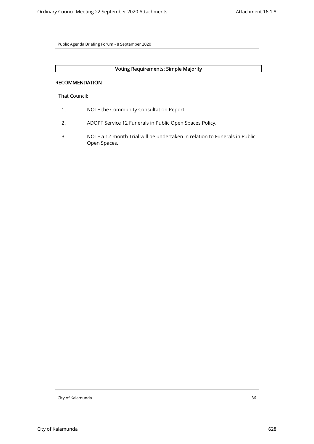# Voting Requirements: Simple Majority

## RECOMMENDATION

That Council:

- 1. NOTE the Community Consultation Report.
- 2. ADOPT Service 12 Funerals in Public Open Spaces Policy.
- 3. NOTE a 12-month Trial will be undertaken in relation to Funerals in Public Open Spaces.